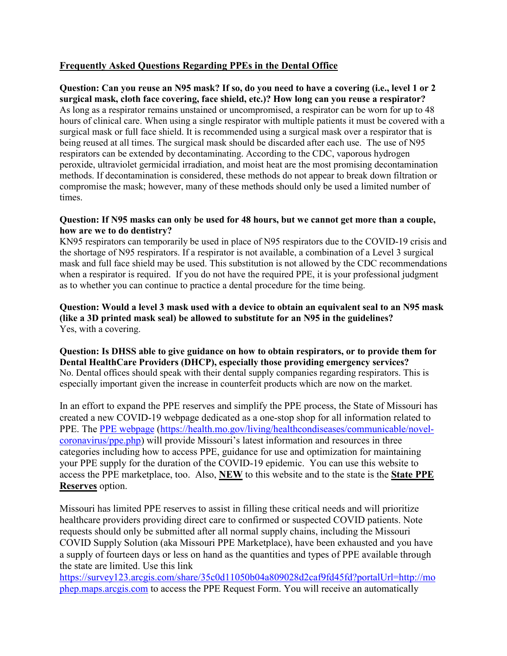# **Frequently Asked Questions Regarding PPEs in the Dental Office**

**Question: Can you reuse an N95 mask? If so, do you need to have a covering (i.e., level 1 or 2 surgical mask, cloth face covering, face shield, etc.)? How long can you reuse a respirator?**  As long as a respirator remains unstained or uncompromised, a respirator can be worn for up to 48 hours of clinical care. When using a single respirator with multiple patients it must be covered with a surgical mask or full face shield. It is recommended using a surgical mask over a respirator that is being reused at all times. The surgical mask should be discarded after each use. The use of N95 respirators can be extended by decontaminating. According to the CDC, vaporous hydrogen peroxide, ultraviolet germicidal irradiation, and moist heat are the most promising decontamination methods. If decontamination is considered, these methods do not appear to break down filtration or compromise the mask; however, many of these methods should only be used a limited number of times.

#### **Question: If N95 masks can only be used for 48 hours, but we cannot get more than a couple, how are we to do dentistry?**

KN95 respirators can temporarily be used in place of N95 respirators due to the COVID-19 crisis and the shortage of N95 respirators. If a respirator is not available, a combination of a Level 3 surgical mask and full face shield may be used. This substitution is not allowed by the CDC recommendations when a respirator is required. If you do not have the required PPE, it is your professional judgment as to whether you can continue to practice a dental procedure for the time being.

**Question: Would a level 3 mask used with a device to obtain an equivalent seal to an N95 mask (like a 3D printed mask seal) be allowed to substitute for an N95 in the guidelines?**  Yes, with a covering.

**Question: Is DHSS able to give guidance on how to obtain respirators, or to provide them for Dental HealthCare Providers (DHCP), especially those providing emergency services?**  No. Dental offices should speak with their dental supply companies regarding respirators. This is especially important given the increase in counterfeit products which are now on the market.

In an effort to expand the PPE reserves and simplify the PPE process, the State of Missouri has created a new COVID-19 webpage dedicated as a one-stop shop for all information related to PPE. The [PPE webpage](https://health.mo.gov/living/healthcondiseases/communicable/novel-coronavirus/ppe.php) [\(https://health.mo.gov/living/healthcondiseases/communicable/novel](https://health.mo.gov/living/healthcondiseases/communicable/novel-coronavirus/ppe.php)[coronavirus/ppe.php\)](https://health.mo.gov/living/healthcondiseases/communicable/novel-coronavirus/ppe.php) will provide Missouri's latest information and resources in three categories including how to access PPE, guidance for use and optimization for maintaining your PPE supply for the duration of the COVID-19 epidemic. You can use this website to access the PPE marketplace, too. Also, **NEW** to this website and to the state is the **State PPE Reserves** option.

Missouri has limited PPE reserves to assist in filling these critical needs and will prioritize healthcare providers providing direct care to confirmed or suspected COVID patients. Note requests should only be submitted after all normal supply chains, including the Missouri COVID Supply Solution (aka Missouri PPE Marketplace), have been exhausted and you have a supply of fourteen days or less on hand as the quantities and types of PPE available through the state are limited. Use this link

[https://survey123.arcgis.com/share/35c0d11050b04a809028d2caf9fd45fd?portalUrl=http://mo](https://urldefense.proofpoint.com/v2/url?u=https-3A__survey123.arcgis.com_share_35c0d11050b04a809028d2caf9fd45fd-3FportalUrl-3Dhttp-3A__mophep.maps.arcgis.com&d=DwMFAg&c=GSntNbUav5AC0JJIyPOufmfQT3u3zI7UKdoVzPd-7og&r=DnA7ywyD5Kj3N37omdZzsCkSZFGsMFC60PpJtzNZjx8&m=9fcUrLyL2wficLwMvmtaCDXMNZQ0cXFzoNtrraqrBsg&s=y9-RAEKUga_d4FdJ40WVey4_STKyrkJcqGvCiM-8xNw&e=) [phep.maps.arcgis.com](https://urldefense.proofpoint.com/v2/url?u=https-3A__survey123.arcgis.com_share_35c0d11050b04a809028d2caf9fd45fd-3FportalUrl-3Dhttp-3A__mophep.maps.arcgis.com&d=DwMFAg&c=GSntNbUav5AC0JJIyPOufmfQT3u3zI7UKdoVzPd-7og&r=DnA7ywyD5Kj3N37omdZzsCkSZFGsMFC60PpJtzNZjx8&m=9fcUrLyL2wficLwMvmtaCDXMNZQ0cXFzoNtrraqrBsg&s=y9-RAEKUga_d4FdJ40WVey4_STKyrkJcqGvCiM-8xNw&e=) to access the PPE Request Form. You will receive an automatically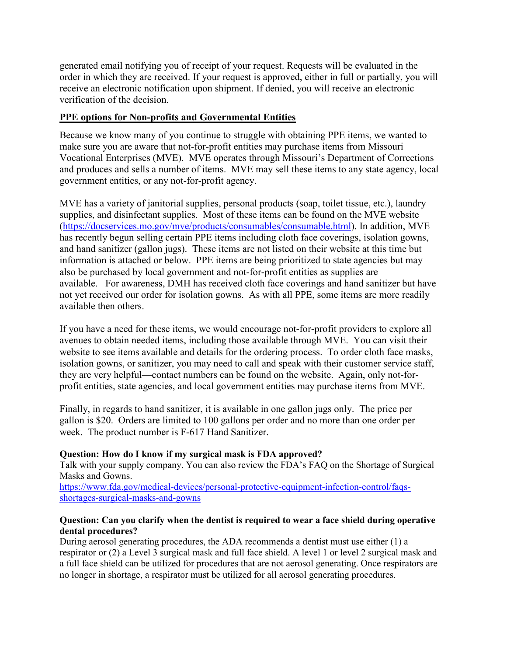generated email notifying you of receipt of your request. Requests will be evaluated in the order in which they are received. If your request is approved, either in full or partially, you will receive an electronic notification upon shipment. If denied, you will receive an electronic verification of the decision.

### **PPE options for Non-profits and Governmental Entities**

Because we know many of you continue to struggle with obtaining PPE items, we wanted to make sure you are aware that not-for-profit entities may purchase items from Missouri Vocational Enterprises (MVE). MVE operates through Missouri's Department of Corrections and produces and sells a number of items. MVE may sell these items to any state agency, local government entities, or any not-for-profit agency.

MVE has a variety of janitorial supplies, personal products (soap, toilet tissue, etc.), laundry supplies, and disinfectant supplies. Most of these items can be found on the MVE website [\(https://docservices.mo.gov/mve/products/consumables/consumable.html\)](https://docservices.mo.gov/mve/products/consumables/consumable.html). In addition, MVE has recently begun selling certain PPE items including cloth face coverings, isolation gowns, and hand sanitizer (gallon jugs). These items are not listed on their website at this time but information is attached or below. PPE items are being prioritized to state agencies but may also be purchased by local government and not-for-profit entities as supplies are available. For awareness, DMH has received cloth face coverings and hand sanitizer but have not yet received our order for isolation gowns. As with all PPE, some items are more readily available then others.

If you have a need for these items, we would encourage not-for-profit providers to explore all avenues to obtain needed items, including those available through MVE. You can visit their website to see items available and details for the ordering process. To order cloth face masks, isolation gowns, or sanitizer, you may need to call and speak with their customer service staff, they are very helpful—contact numbers can be found on the website. Again, only not-forprofit entities, state agencies, and local government entities may purchase items from MVE.

Finally, in regards to hand sanitizer, it is available in one gallon jugs only. The price per gallon is \$20. Orders are limited to 100 gallons per order and no more than one order per week. The product number is F-617 Hand Sanitizer.

#### **Question: How do I know if my surgical mask is FDA approved?**

Talk with your supply company. You can also review the FDA's FAQ on the Shortage of Surgical Masks and Gowns.

https://www.fda.gov/medical-devices/personal-protective-equipment-infection-control/faqsshortages-surgical-masks-and-gowns

#### **Question: Can you clarify when the dentist is required to wear a face shield during operative dental procedures?**

During aerosol generating procedures, the ADA recommends a dentist must use either (1) a respirator or (2) a Level 3 surgical mask and full face shield. A level 1 or level 2 surgical mask and a full face shield can be utilized for procedures that are not aerosol generating. Once respirators are no longer in shortage, a respirator must be utilized for all aerosol generating procedures.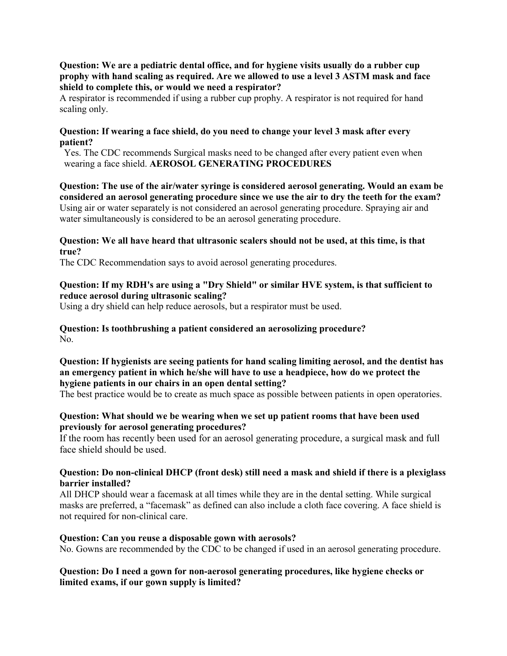**Question: We are a pediatric dental office, and for hygiene visits usually do a rubber cup prophy with hand scaling as required. Are we allowed to use a level 3 ASTM mask and face shield to complete this, or would we need a respirator?** 

A respirator is recommended if using a rubber cup prophy. A respirator is not required for hand scaling only.

#### **Question: If wearing a face shield, do you need to change your level 3 mask after every patient?**

Yes. The CDC recommends Surgical masks need to be changed after every patient even when wearing a face shield. **AEROSOL GENERATING PROCEDURES** 

**Question: The use of the air/water syringe is considered aerosol generating. Would an exam be considered an aerosol generating procedure since we use the air to dry the teeth for the exam?**  Using air or water separately is not considered an aerosol generating procedure. Spraying air and water simultaneously is considered to be an aerosol generating procedure.

#### **Question: We all have heard that ultrasonic scalers should not be used, at this time, is that true?**

The CDC Recommendation says to avoid aerosol generating procedures.

#### **Question: If my RDH's are using a "Dry Shield" or similar HVE system, is that sufficient to reduce aerosol during ultrasonic scaling?**

Using a dry shield can help reduce aerosols, but a respirator must be used.

#### **Question: Is toothbrushing a patient considered an aerosolizing procedure?**  No.

#### **Question: If hygienists are seeing patients for hand scaling limiting aerosol, and the dentist has an emergency patient in which he/she will have to use a headpiece, how do we protect the hygiene patients in our chairs in an open dental setting?**

The best practice would be to create as much space as possible between patients in open operatories.

#### **Question: What should we be wearing when we set up patient rooms that have been used previously for aerosol generating procedures?**

If the room has recently been used for an aerosol generating procedure, a surgical mask and full face shield should be used.

#### **Question: Do non-clinical DHCP (front desk) still need a mask and shield if there is a plexiglass barrier installed?**

All DHCP should wear a facemask at all times while they are in the dental setting. While surgical masks are preferred, a "facemask" as defined can also include a cloth face covering. A face shield is not required for non-clinical care.

#### **Question: Can you reuse a disposable gown with aerosols?**

No. Gowns are recommended by the CDC to be changed if used in an aerosol generating procedure.

#### **Question: Do I need a gown for non-aerosol generating procedures, like hygiene checks or limited exams, if our gown supply is limited?**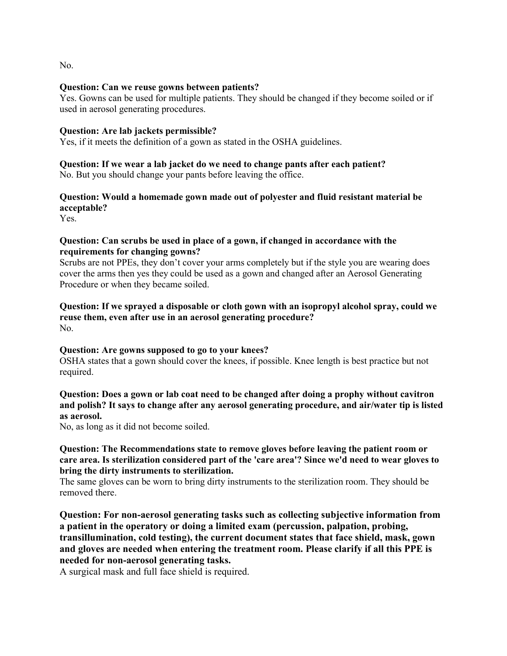No.

#### **Question: Can we reuse gowns between patients?**

Yes. Gowns can be used for multiple patients. They should be changed if they become soiled or if used in aerosol generating procedures.

#### **Question: Are lab jackets permissible?**

Yes, if it meets the definition of a gown as stated in the OSHA guidelines.

# **Question: If we wear a lab jacket do we need to change pants after each patient?**

No. But you should change your pants before leaving the office.

# **Question: Would a homemade gown made out of polyester and fluid resistant material be acceptable?**

Yes.

#### **Question: Can scrubs be used in place of a gown, if changed in accordance with the requirements for changing gowns?**

Scrubs are not PPEs, they don't cover your arms completely but if the style you are wearing does cover the arms then yes they could be used as a gown and changed after an Aerosol Generating Procedure or when they became soiled.

#### **Question: If we sprayed a disposable or cloth gown with an isopropyl alcohol spray, could we reuse them, even after use in an aerosol generating procedure?**  No.

#### **Question: Are gowns supposed to go to your knees?**

OSHA states that a gown should cover the knees, if possible. Knee length is best practice but not required.

### **Question: Does a gown or lab coat need to be changed after doing a prophy without cavitron and polish? It says to change after any aerosol generating procedure, and air/water tip is listed as aerosol.**

No, as long as it did not become soiled.

#### **Question: The Recommendations state to remove gloves before leaving the patient room or care area. Is sterilization considered part of the 'care area'? Since we'd need to wear gloves to bring the dirty instruments to sterilization.**

The same gloves can be worn to bring dirty instruments to the sterilization room. They should be removed there.

**Question: For non-aerosol generating tasks such as collecting subjective information from a patient in the operatory or doing a limited exam (percussion, palpation, probing, transillumination, cold testing), the current document states that face shield, mask, gown and gloves are needed when entering the treatment room. Please clarify if all this PPE is needed for non-aerosol generating tasks.** 

A surgical mask and full face shield is required.